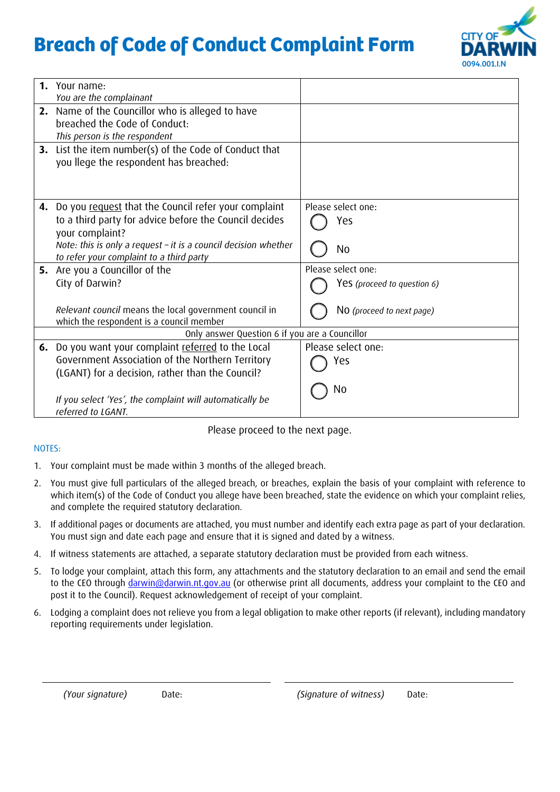# **Breach of Code of Conduct Complaint Form**



| Yes (proceed to question 6)                    |  |  |  |  |
|------------------------------------------------|--|--|--|--|
|                                                |  |  |  |  |
| NO (proceed to next page)                      |  |  |  |  |
|                                                |  |  |  |  |
| Only answer Question 6 if you are a Councillor |  |  |  |  |
|                                                |  |  |  |  |
|                                                |  |  |  |  |
|                                                |  |  |  |  |
|                                                |  |  |  |  |
|                                                |  |  |  |  |
|                                                |  |  |  |  |
|                                                |  |  |  |  |

Please proceed to the next page.

#### NOTES:

- 1. Your complaint must be made within 3 months of the alleged breach.
- 2. You must give full particulars of the alleged breach, or breaches, explain the basis of your complaint with reference to which item(s) of the Code of Conduct you allege have been breached, state the evidence on which your complaint relies, and complete the required statutory declaration.
- 3. If additional pages or documents are attached, you must number and identify each extra page as part of your declaration. You must sign and date each page and ensure that it is signed and dated by a witness.
- 4. If witness statements are attached, a separate statutory declaration must be provided from each witness.
- 5. To lodge your complaint, attach this form, any attachments and the statutory declaration to an email and send the email to the CEO through [darwin@darwin.nt.gov.au](mailto:darwin@darwin.nt.gov.au) (or otherwise print all documents, address your complaint to the CEO and post it to the Council). Request acknowledgement of receipt of your complaint.
- 6. Lodging a complaint does not relieve you from a legal obligation to make other reports (if relevant), including mandatory reporting requirements under legislation.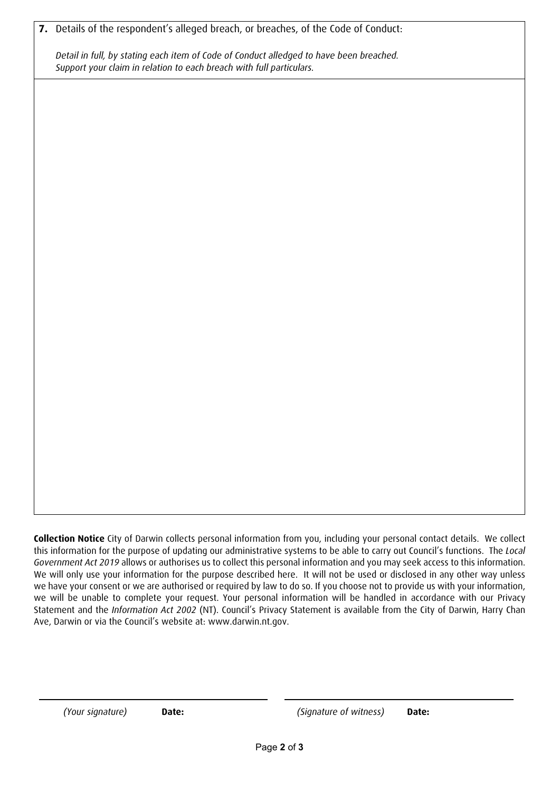**7.** Details of the respondent's alleged breach, or breaches, of the Code of Conduct:

*Detail in full, by stating each item of Code of Conduct alledged to have been breached. Support your claim in relation to each breach with full particulars.* 

**Collection Notice** City of Darwin collects personal information from you, including your personal contact details. We collect this information for the purpose of updating our administrative systems to be able to carry out Council's functions. The *Local Government Act 2019* allows or authorises us to collect this personal information and you may seek access to this information. We will only use your information for the purpose described here. It will not be used or disclosed in any other way unless we have your consent or we are authorised or required by law to do so. If you choose not to provide us with your information, we will be unable to complete your request. Your personal information will be handled in accordance with our Privacy Statement and the *Information Act 2002* (NT). Council's Privacy Statement is available from the City of Darwin, Harry Chan Ave, Darwin or via the Council's website at: www.darwin.nt.gov.